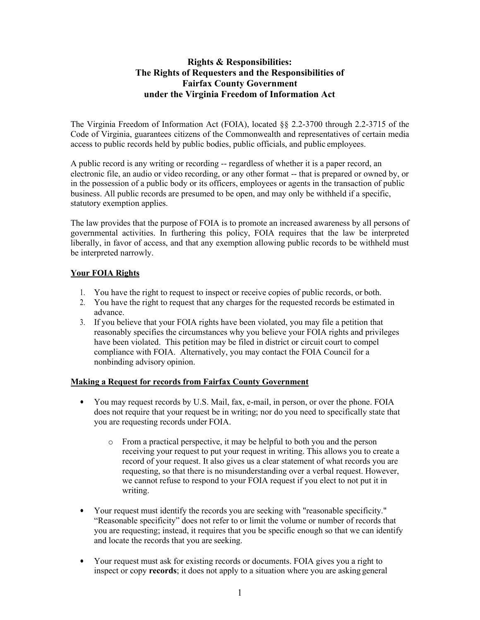# **Rights & Responsibilities: The Rights of Requesters and the Responsibilities of Fairfax County Government under the Virginia Freedom of Information Act**

The Virginia Freedom of Information Act (FOIA), located §§ 2.2-3700 through 2.2-3715 of the Code of Virginia, guarantees citizens of the Commonwealth and representatives of certain media access to public records held by public bodies, public officials, and public employees.

A public record is any writing or recording -- regardless of whether it is a paper record, an electronic file, an audio or video recording, or any other format -- that is prepared or owned by, or in the possession of a public body or its officers, employees or agents in the transaction of public business. All public records are presumed to be open, and may only be withheld if a specific, statutory exemption applies.

The law provides that the purpose of FOIA is to promote an increased awareness by all persons of governmental activities. In furthering this policy, FOIA requires that the law be interpreted liberally, in favor of access, and that any exemption allowing public records to be withheld must be interpreted narrowly.

## **Your FOIA Rights**

- 1. You have the right to request to inspect or receive copies of public records, or both.
- 2. You have the right to request that any charges for the requested records be estimated in advance.
- 3. If you believe that your FOIA rights have been violated, you may file a petition that reasonably specifies the circumstances why you believe your FOIA rights and privileges have been violated. This petition may be filed in district or circuit court to compel compliance with FOIA. Alternatively, you may contact the FOIA Council for a nonbinding advisory opinion.

## **Making a Request for records from Fairfax County Government**

- You may request records by U.S. Mail, fax, e-mail, in person, or over the phone. FOIA does not require that your request be in writing; nor do you need to specifically state that you are requesting records under FOIA.
	- o From a practical perspective, it may be helpful to both you and the person receiving your request to put your request in writing. This allows you to create a record of your request. It also gives us a clear statement of what records you are requesting, so that there is no misunderstanding over a verbal request. However, we cannot refuse to respond to your FOIA request if you elect to not put it in writing.
- Your request must identify the records you are seeking with "reasonable specificity." "Reasonable specificity" does not refer to or limit the volume or number of records that you are requesting; instead, it requires that you be specific enough so that we can identify and locate the records that you are seeking.
- Your request must ask for existing records or documents. FOIA gives you a right to inspect or copy **records**; it does not apply to a situation where you are asking general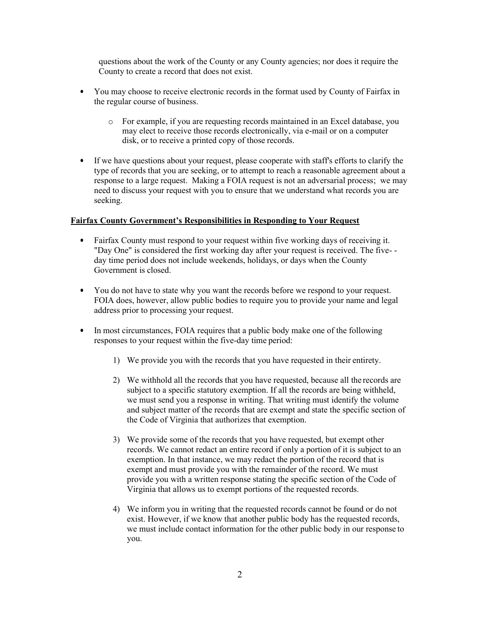questions about the work of the County or any County agencies; nor does it require the County to create a record that does not exist.

- You may choose to receive electronic records in the format used by County of Fairfax in the regular course of business.
	- o For example, if you are requesting records maintained in an Excel database, you may elect to receive those records electronically, via e-mail or on a computer disk, or to receive a printed copy of those records.
- If we have questions about your request, please cooperate with staff's efforts to clarify the type of records that you are seeking, or to attempt to reach a reasonable agreement about a response to a large request. Making a FOIA request is not an adversarial process; we may need to discuss your request with you to ensure that we understand what records you are seeking.

### **Fairfax County Government's Responsibilities in Responding to Your Request**

- Fairfax County must respond to your request within five working days of receiving it. "Day One" is considered the first working day after your request is received. The five- day time period does not include weekends, holidays, or days when the County Government is closed.
- You do not have to state why you want the records before we respond to your request. FOIA does, however, allow public bodies to require you to provide your name and legal address prior to processing your request.
- In most circumstances, FOIA requires that a public body make one of the following responses to your request within the five-day time period:
	- 1) We provide you with the records that you have requested in their entirety.
	- 2) We withhold all the records that you have requested, because all the records are subject to a specific statutory exemption. If all the records are being withheld, we must send you a response in writing. That writing must identify the volume and subject matter of the records that are exempt and state the specific section of the Code of Virginia that authorizes that exemption.
	- 3) We provide some of the records that you have requested, but exempt other records. We cannot redact an entire record if only a portion of it is subject to an exemption. In that instance, we may redact the portion of the record that is exempt and must provide you with the remainder of the record. We must provide you with a written response stating the specific section of the Code of Virginia that allows us to exempt portions of the requested records.
	- 4) We inform you in writing that the requested records cannot be found or do not exist. However, if we know that another public body has the requested records, we must include contact information for the other public body in our response to you.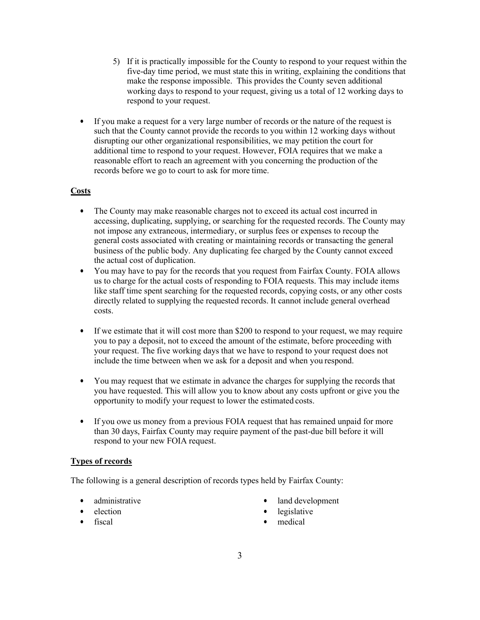- 5) If it is practically impossible for the County to respond to your request within the five-day time period, we must state this in writing, explaining the conditions that make the response impossible. This provides the County seven additional working days to respond to your request, giving us a total of 12 working days to respond to your request.
- If you make a request for a very large number of records or the nature of the request is such that the County cannot provide the records to you within 12 working days without disrupting our other organizational responsibilities, we may petition the court for additional time to respond to your request. However, FOIA requires that we make a reasonable effort to reach an agreement with you concerning the production of the records before we go to court to ask for more time.

## **Costs**

- The County may make reasonable charges not to exceed its actual cost incurred in accessing, duplicating, supplying, or searching for the requested records. The County may not impose any extraneous, intermediary, or surplus fees or expenses to recoup the general costs associated with creating or maintaining records or transacting the general business of the public body. Any duplicating fee charged by the County cannot exceed the actual cost of duplication.
- You may have to pay for the records that you request from Fairfax County. FOIA allows us to charge for the actual costs of responding to FOIA requests. This may include items like staff time spent searching for the requested records, copying costs, or any other costs directly related to supplying the requested records. It cannot include general overhead costs.
- If we estimate that it will cost more than \$200 to respond to your request, we may require you to pay a deposit, not to exceed the amount of the estimate, before proceeding with your request. The five working days that we have to respond to your request does not include the time between when we ask for a deposit and when you respond.
- You may request that we estimate in advance the charges for supplying the records that you have requested. This will allow you to know about any costs upfront or give you the opportunity to modify your request to lower the estimated costs.
- If you owe us money from a previous FOIA request that has remained unpaid for more than 30 days, Fairfax County may require payment of the past-due bill before it will respond to your new FOIA request.

### **Types of records**

The following is a general description of records types held by Fairfax County:

- administrative
- election
- fiscal
- land development
- legislative
- medical